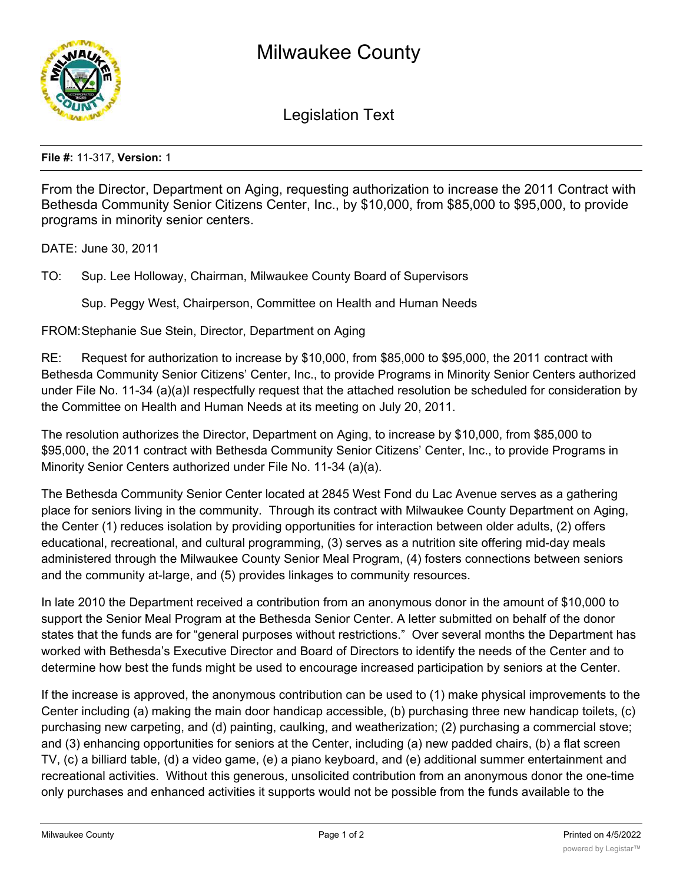

Legislation Text

**File #:** 11-317, **Version:** 1

From the Director, Department on Aging, requesting authorization to increase the 2011 Contract with Bethesda Community Senior Citizens Center, Inc., by \$10,000, from \$85,000 to \$95,000, to provide programs in minority senior centers.

DATE: June 30, 2011

TO: Sup. Lee Holloway, Chairman, Milwaukee County Board of Supervisors

Sup. Peggy West, Chairperson, Committee on Health and Human Needs

FROM:Stephanie Sue Stein, Director, Department on Aging

RE: Request for authorization to increase by \$10,000, from \$85,000 to \$95,000, the 2011 contract with Bethesda Community Senior Citizens' Center, Inc., to provide Programs in Minority Senior Centers authorized under File No. 11-34 (a)(a)I respectfully request that the attached resolution be scheduled for consideration by the Committee on Health and Human Needs at its meeting on July 20, 2011.

The resolution authorizes the Director, Department on Aging, to increase by \$10,000, from \$85,000 to \$95,000, the 2011 contract with Bethesda Community Senior Citizens' Center, Inc., to provide Programs in Minority Senior Centers authorized under File No. 11-34 (a)(a).

The Bethesda Community Senior Center located at 2845 West Fond du Lac Avenue serves as a gathering place for seniors living in the community. Through its contract with Milwaukee County Department on Aging, the Center (1) reduces isolation by providing opportunities for interaction between older adults, (2) offers educational, recreational, and cultural programming, (3) serves as a nutrition site offering mid-day meals administered through the Milwaukee County Senior Meal Program, (4) fosters connections between seniors and the community at-large, and (5) provides linkages to community resources.

In late 2010 the Department received a contribution from an anonymous donor in the amount of \$10,000 to support the Senior Meal Program at the Bethesda Senior Center. A letter submitted on behalf of the donor states that the funds are for "general purposes without restrictions." Over several months the Department has worked with Bethesda's Executive Director and Board of Directors to identify the needs of the Center and to determine how best the funds might be used to encourage increased participation by seniors at the Center.

If the increase is approved, the anonymous contribution can be used to (1) make physical improvements to the Center including (a) making the main door handicap accessible, (b) purchasing three new handicap toilets, (c) purchasing new carpeting, and (d) painting, caulking, and weatherization; (2) purchasing a commercial stove; and (3) enhancing opportunities for seniors at the Center, including (a) new padded chairs, (b) a flat screen TV, (c) a billiard table, (d) a video game, (e) a piano keyboard, and (e) additional summer entertainment and recreational activities. Without this generous, unsolicited contribution from an anonymous donor the one-time only purchases and enhanced activities it supports would not be possible from the funds available to the